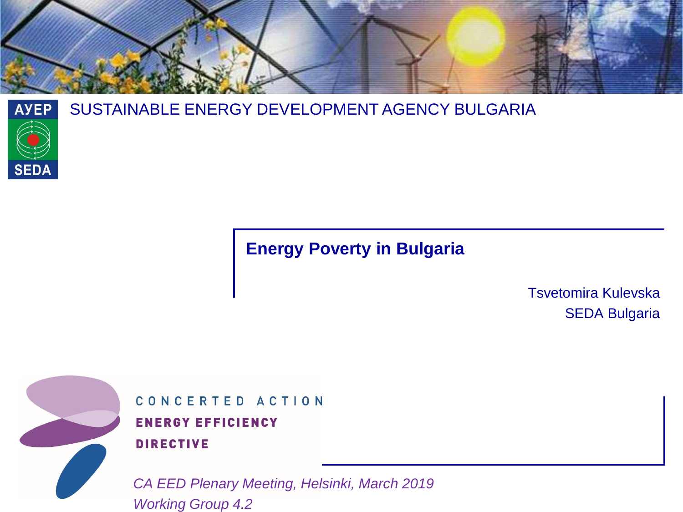



#### SUSTAINABLE ENERGY DEVELOPMENT AGENCY BULGARIA

### **Energy Poverty in Bulgaria**

Tsvetomira Kulevska SEDA Bulgaria



CONCERTED ACTION **ENERGY EFFICIENCY DIRECTIVE** 

*CA EED Plenary Meeting, Helsinki, March 2019 Working Group 4.2*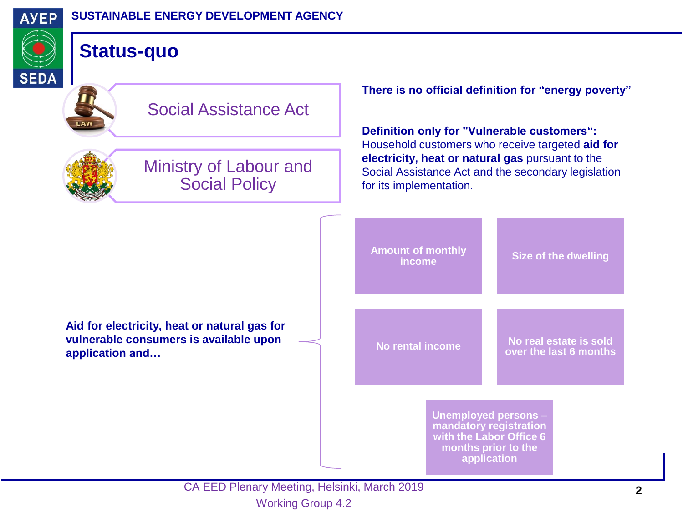

**SEDA** 

### **Status-quo**





Ministry of Labour and Social Policy

**There is no official definition for "energy poverty"**

**Definition only for "Vulnerable customers":**  Household customers who receive targeted **aid for electricity, heat or natural gas** pursuant to the Social Assistance Act and the secondary legislation for its implementation.

**Amount of monthly Size of the dwelling No rental income No real estate is sold over the last 6 months Unemployed persons – mandatory registration with the Labor Office 6 months prior to the application Aid for electricity, heat or natural gas for vulnerable consumers is available upon application and…**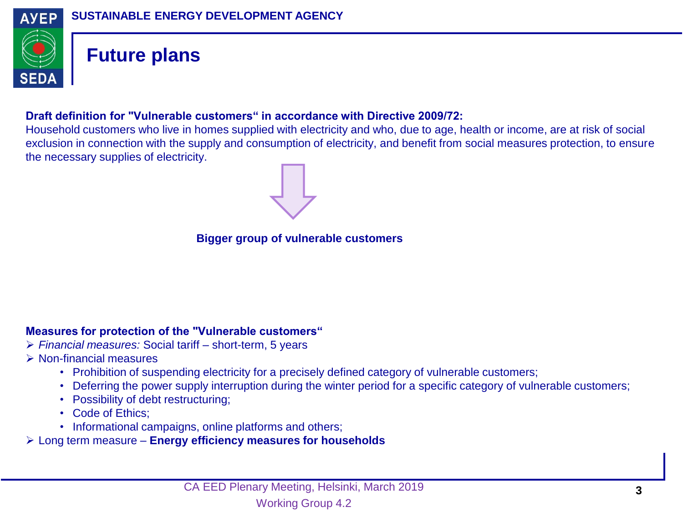

### **Future plans**

#### **Draft definition for "Vulnerable customers" in accordance with Directive 2009/72:**

Household customers who live in homes supplied with electricity and who, due to age, health or income, are at risk of social exclusion in connection with the supply and consumption of electricity, and benefit from social measures protection, to ensure the necessary supplies of electricity.



**Bigger group of vulnerable customers** 

#### **Measures for protection of the "Vulnerable customers"**

- *Financial measures:* Social tariff short-term, 5 years
- $\triangleright$  Non-financial measures
	- Prohibition of suspending electricity for a precisely defined category of vulnerable customers;
	- Deferring the power supply interruption during the winter period for a specific category of vulnerable customers;
	- Possibility of debt restructuring;
	- Code of Ethics;
	- Informational campaigns, online platforms and others;
- Long term measure **Energy efficiency measures for households**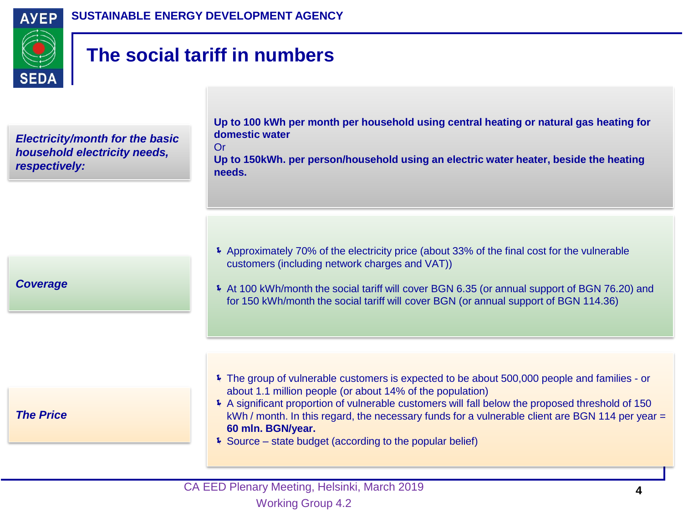



# **The social tariff in numbers**

Or

*Electricity/month for the basic household electricity needs, respectively:*

**Up to 100 kWh per month per household using central heating or natural gas heating for domestic water**

**Up to 150kWh. per person/household using an electric water heater, beside the heating needs.**

*Coverage*

 Approximately 70% of the electricity price (about 33% of the final cost for the vulnerable customers (including network charges and VAT))

 At 100 kWh/month the social tariff will cover BGN 6.35 (or annual support of BGN 76.20) and for 150 kWh/month the social tariff will cover BGN (or annual support of BGN 114.36)

*The Price*

- The group of vulnerable customers is expected to be about 500,000 people and families or about 1.1 million people (or about 14% of the population)
- A significant proportion of vulnerable customers will fall below the proposed threshold of 150  $kWh / month$ . In this regard, the necessary funds for a vulnerable client are BGN 114 per year  $=$ **60 mln. BGN/year.**
- Source state budget (according to the popular belief)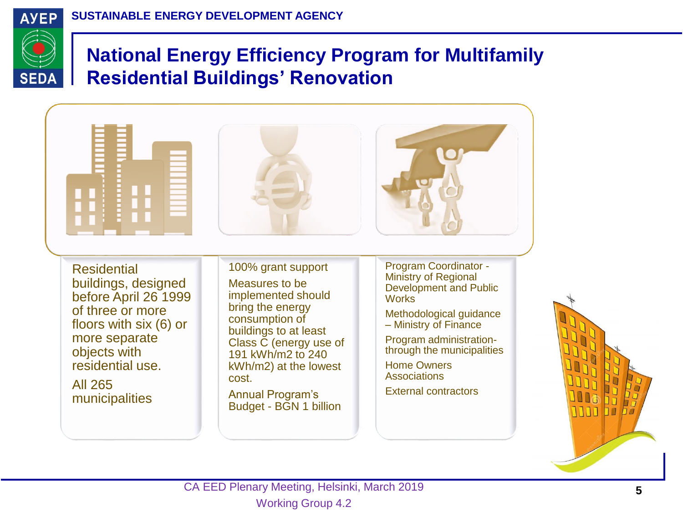

# **National Energy Efficiency Program for Multifamily Residential Buildings' Renovation**



הרוח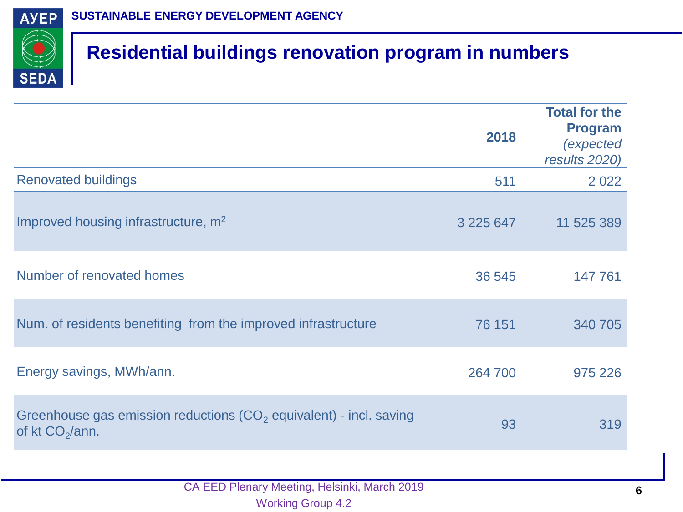

# **Residential buildings renovation program in numbers**

|                                                                                                     | 2018      | <b>Total for the</b><br><b>Program</b><br><i>(expected</i><br>results 2020) |
|-----------------------------------------------------------------------------------------------------|-----------|-----------------------------------------------------------------------------|
| <b>Renovated buildings</b>                                                                          | 511       | 2 0 2 2                                                                     |
| Improved housing infrastructure, m <sup>2</sup>                                                     | 3 225 647 | 11 525 389                                                                  |
| Number of renovated homes                                                                           | 36 545    | 147 761                                                                     |
| Num. of residents benefiting from the improved infrastructure                                       | 76 151    | 340 705                                                                     |
| Energy savings, MWh/ann.                                                                            | 264 700   | 975 226                                                                     |
| Greenhouse gas emission reductions $(CO2$ equivalent) - incl. saving<br>of kt CO <sub>2</sub> /ann. | 93        | 319                                                                         |
|                                                                                                     |           |                                                                             |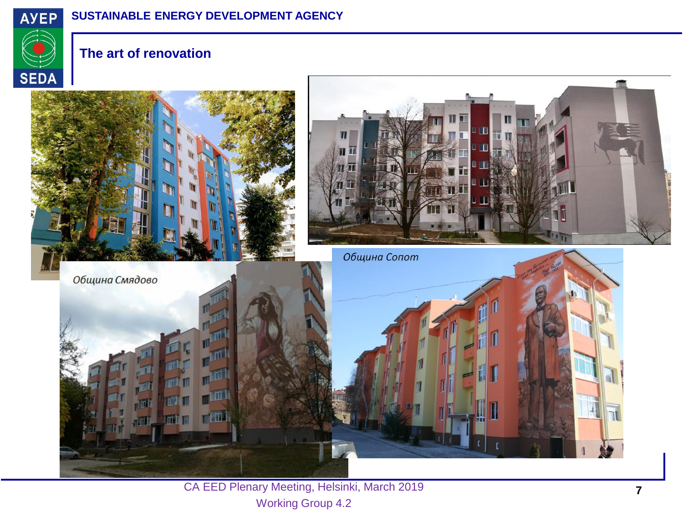

#### **SUSTAINABLE ENERGY DEVELOPMENT AGENCY**



#### **The art of renovation**



CA EED Plenary Meeting, Helsinki, March 2019 Working Group 4.2